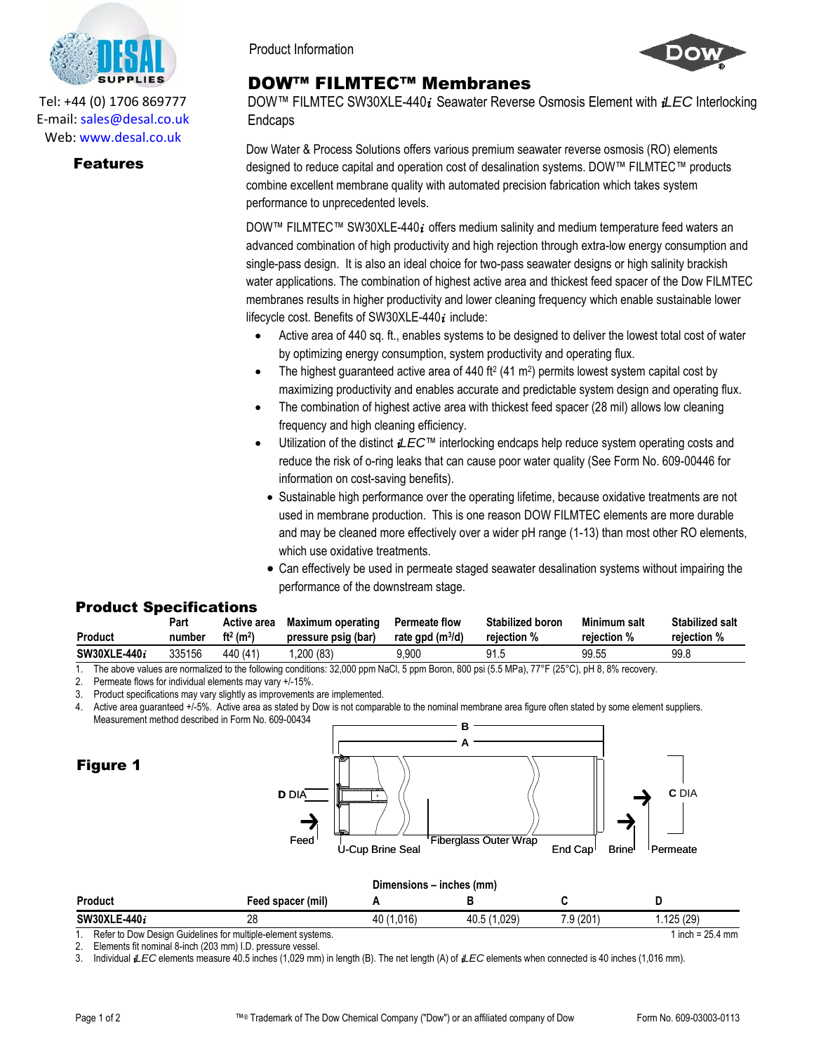

Tel: +44 (0) 1706 869777 E‐mail: sales@desal.co.uk Web: www.desal.co.uk

## Features

Product Information

## DOW™ FILMTEC™ Membranes

DOW™ FILMTEC SW30XLE-440*i* Seawater Reverse Osmosis Element with *iLEC* Interlocking Endcaps

Dow Water & Process Solutions offers various premium seawater reverse osmosis (RO) elements designed to reduce capital and operation cost of desalination systems. DOW™ FILMTEC™ products combine excellent membrane quality with automated precision fabrication which takes system performance to unprecedented levels.

DOW™ FILMTEC™ SW30XLE-440*i* offers medium salinity and medium temperature feed waters an advanced combination of high productivity and high rejection through extra-low energy consumption and single-pass design. It is also an ideal choice for two-pass seawater designs or high salinity brackish water applications. The combination of highest active area and thickest feed spacer of the Dow FILMTEC membranes results in higher productivity and lower cleaning frequency which enable sustainable lower lifecycle cost. Benefits of SW30XLE-440*i* include:

- Active area of 440 sq. ft., enables systems to be designed to deliver the lowest total cost of water by optimizing energy consumption, system productivity and operating flux.
- The highest guaranteed active area of 440 ft<sup>2</sup> (41 m<sup>2</sup>) permits lowest system capital cost by maximizing productivity and enables accurate and predictable system design and operating flux.
- The combination of highest active area with thickest feed spacer (28 mil) allows low cleaning frequency and high cleaning efficiency.
- Utilization of the distinct *iLEC*™ interlocking endcaps help reduce system operating costs and reduce the risk of o-ring leaks that can cause poor water quality (See Form No. 609-00446 for information on cost-saving benefits).
	- Sustainable high performance over the operating lifetime, because oxidative treatments are not used in membrane production. This is one reason DOW FILMTEC elements are more durable and may be cleaned more effectively over a wider pH range (1-13) than most other RO elements, which use oxidative treatments.
	- Can effectively be used in permeate staged seawater desalination systems without impairing the performance of the downstream stage.

## Product Specifications

| <b>Product</b> | Part   | Active area                       | Maximum operating   | <b>Permeate flow</b> | <b>Stabilized boron</b> | Minimum salt | <b>Stabilized salt</b> |
|----------------|--------|-----------------------------------|---------------------|----------------------|-------------------------|--------------|------------------------|
|                | number | ft <sup>2</sup> (m <sup>2</sup> ) | pressure psig (bar) | rate gpd $(m^3/d)$   | rejection %             | reiection %  | rejection %            |
| SW30XLE-440i   | 335156 | 440 (41)                          | ,200(83)            | 9.900                | 91.5                    | 99.55        | 99.8                   |

1. The above values are normalized to the following conditions: 32,000 ppm NaCl, 5 ppm Boron, 800 psi (5.5 MPa), 77°F (25°C), pH 8, 8% recovery.

2. Permeate flows for individual elements may vary +/-15%.

3. Product specifications may vary slightly as improvements are implemented.

4. Active area guaranteed +/-5%. Active area as stated by Dow is not comparable to the nominal membrane area figure often stated by some element suppliers. Measurement method described in Form No. 609-00434 **B**



2. Elements fit nominal 8-inch (203 mm) I.D. pressure vessel.

3. Individual *iLEC* elements measure 40.5 inches (1,029 mm) in length (B). The net length (A) of *iLEC* elements when connected is 40 inches (1,016 mm).